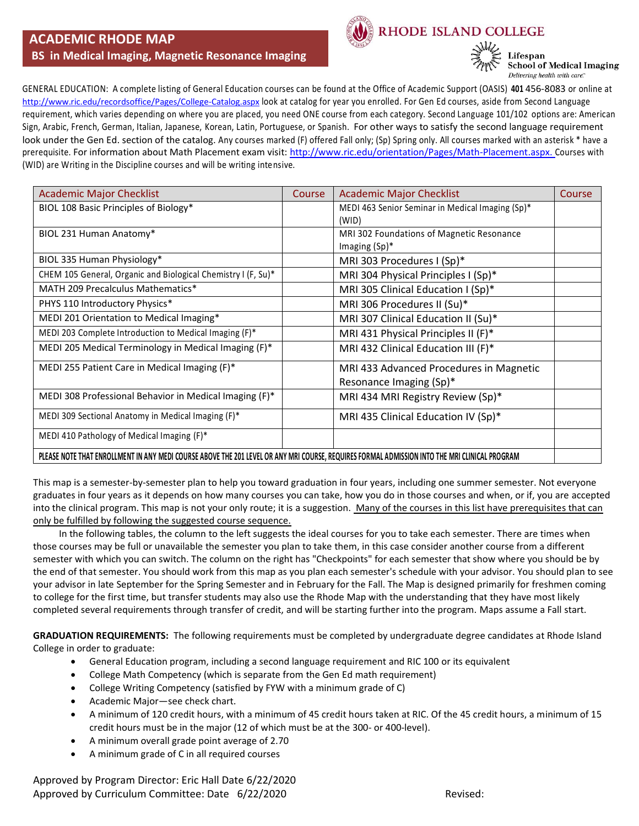#### **ACADEMIC RHODE MAP BS in Medical Imaging, Magnetic Resonance Imaging**



RHODE ISLAND COLLEGE

Lifespan **School of Medical Imaging** Delivering health with care."

GENERAL EDUCATION: A complete listing of General Education courses can be found at the Office of Academic Support (OASIS) **401** 456-8083 or online at <http://www.ric.edu/recordsoffice/Pages/College-Catalog.aspx> look at catalog for year you enrolled. For Gen Ed courses, aside from Second Language requirement, which varies depending on where you are placed, you need ONE course from each category. Second Language 101/102 options are: American Sign, Arabic, French, German, Italian, Japanese, Korean, Latin, Portuguese, or Spanish. For other ways to satisfy the second language requirement look under the Gen Ed. section of the catalog. Any courses marked (F) offered Fall only; (Sp) Spring only. All courses marked with an asterisk \* have a prerequisite. For information about Math Placement exam visit: [http://www.ric.edu/orientation/Pages/Math-Placement.aspx.](http://www.ric.edu/orientation/Pages/Math-Placement.aspx) Courses with (WID) are Writing in the Discipline courses and will be writing intensive.

| <b>Academic Major Checklist</b>                                                                                                               | Course | <b>Academic Major Checklist</b>                  | Course |
|-----------------------------------------------------------------------------------------------------------------------------------------------|--------|--------------------------------------------------|--------|
| BIOL 108 Basic Principles of Biology*                                                                                                         |        | MEDI 463 Senior Seminar in Medical Imaging (Sp)* |        |
|                                                                                                                                               |        | (WID)                                            |        |
| BIOL 231 Human Anatomy*                                                                                                                       |        | MRI 302 Foundations of Magnetic Resonance        |        |
|                                                                                                                                               |        | Imaging $(Sp)^*$                                 |        |
| BIOL 335 Human Physiology*                                                                                                                    |        | MRI 303 Procedures I (Sp)*                       |        |
| CHEM 105 General, Organic and Biological Chemistry I (F, Su)*                                                                                 |        | MRI 304 Physical Principles I (Sp)*              |        |
| MATH 209 Precalculus Mathematics*                                                                                                             |        | MRI 305 Clinical Education I (Sp)*               |        |
| PHYS 110 Introductory Physics*                                                                                                                |        | MRI 306 Procedures II (Su)*                      |        |
| MEDI 201 Orientation to Medical Imaging*                                                                                                      |        | MRI 307 Clinical Education II (Su)*              |        |
| MEDI 203 Complete Introduction to Medical Imaging (F)*                                                                                        |        | MRI 431 Physical Principles II (F)*              |        |
| MEDI 205 Medical Terminology in Medical Imaging (F)*                                                                                          |        | MRI 432 Clinical Education III (F)*              |        |
| MEDI 255 Patient Care in Medical Imaging (F)*                                                                                                 |        | MRI 433 Advanced Procedures in Magnetic          |        |
|                                                                                                                                               |        | Resonance Imaging (Sp)*                          |        |
| MEDI 308 Professional Behavior in Medical Imaging (F)*                                                                                        |        | MRI 434 MRI Registry Review (Sp)*                |        |
| MEDI 309 Sectional Anatomy in Medical Imaging (F)*                                                                                            |        | MRI 435 Clinical Education IV (Sp)*              |        |
| MEDI 410 Pathology of Medical Imaging (F)*                                                                                                    |        |                                                  |        |
| PLEASE NOTE THAT ENROLLMENT IN ANY MEDI COURSE ABOVE THE 201 LEVEL OR ANY MRI COURSE, REQUIRES FORMAL ADMISSION INTO THE MRI CLINICAL PROGRAM |        |                                                  |        |

This map is a semester-by-semester plan to help you toward graduation in four years, including one summer semester. Not everyone graduates in four years as it depends on how many courses you can take, how you do in those courses and when, or if, you are accepted into the clinical program. This map is not your only route; it is a suggestion. Many of the courses in this list have prerequisites that can only be fulfilled by following the suggested course sequence.

 In the following tables, the column to the left suggests the ideal courses for you to take each semester. There are times when those courses may be full or unavailable the semester you plan to take them, in this case consider another course from a different semester with which you can switch. The column on the right has "Checkpoints" for each semester that show where you should be by the end of that semester. You should work from this map as you plan each semester's schedule with your advisor. You should plan to see your advisor in late September for the Spring Semester and in February for the Fall. The Map is designed primarily for freshmen coming to college for the first time, but transfer students may also use the Rhode Map with the understanding that they have most likely completed several requirements through transfer of credit, and will be starting further into the program. Maps assume a Fall start.

**GRADUATION REQUIREMENTS:** The following requirements must be completed by undergraduate degree candidates at Rhode Island College in order to graduate:

- General Education program, including a second language requirement and RIC 100 or its equivalent
- College Math Competency (which is separate from the Gen Ed math requirement)
- College Writing Competency (satisfied by FYW with a minimum grade of C)
- Academic Major—see check chart.
- A minimum of 120 credit hours, with a minimum of 45 credit hours taken at RIC. Of the 45 credit hours, a minimum of 15 credit hours must be in the major (12 of which must be at the 300- or 400-level).
- A minimum overall grade point average of 2.70
- A minimum grade of C in all required courses

Approved by Program Director: Eric Hall Date 6/22/2020 Approved by Curriculum Committee: Date 6/22/2020 **Revised:** Revised: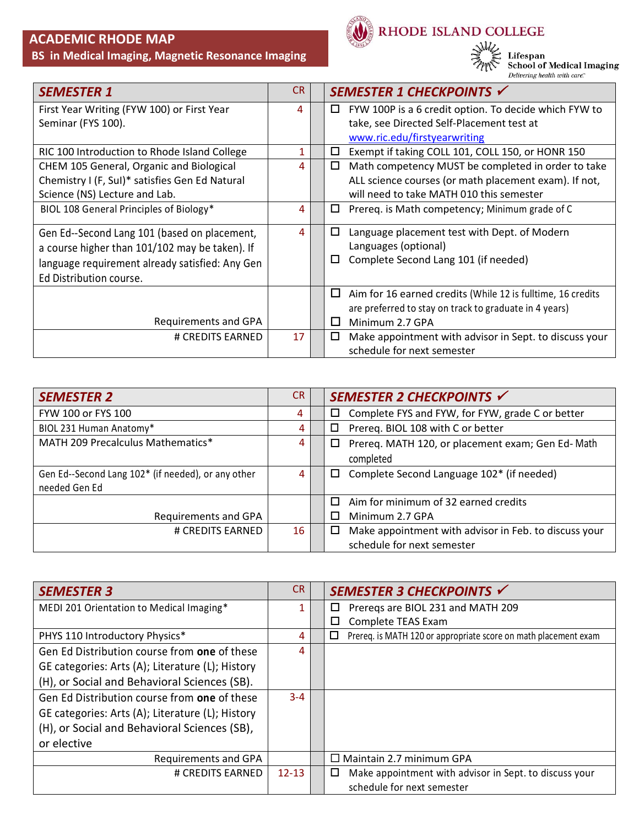# **ACADEMIC RHODE MAP**

 **BS in Medical Imaging, Magnetic Resonance Imaging**



RHODE ISLAND COLLEGE

**SAMIC** 

Lifespan<br>School of Medical Imaging<br><sub>Delivering health with care</sub>

| <b>SEMESTER 1</b>                                                                                                                                                            | <b>CR</b> | SEMESTER 1 CHECKPOINTS √                                                                                               |
|------------------------------------------------------------------------------------------------------------------------------------------------------------------------------|-----------|------------------------------------------------------------------------------------------------------------------------|
| First Year Writing (FYW 100) or First Year                                                                                                                                   | 4         | FYW 100P is a 6 credit option. To decide which FYW to<br>⊔                                                             |
| Seminar (FYS 100).                                                                                                                                                           |           | take, see Directed Self-Placement test at                                                                              |
|                                                                                                                                                                              |           | www.ric.edu/firstyearwriting                                                                                           |
| RIC 100 Introduction to Rhode Island College                                                                                                                                 | 1         | Exempt if taking COLL 101, COLL 150, or HONR 150<br>□                                                                  |
| CHEM 105 General, Organic and Biological                                                                                                                                     | 4         | Math competency MUST be completed in order to take<br>□                                                                |
| Chemistry I (F, SuI)* satisfies Gen Ed Natural                                                                                                                               |           | ALL science courses (or math placement exam). If not,                                                                  |
| Science (NS) Lecture and Lab.                                                                                                                                                |           | will need to take MATH 010 this semester                                                                               |
| BIOL 108 General Principles of Biology*                                                                                                                                      | 4         | Prereq. is Math competency; Minimum grade of C<br>□                                                                    |
| Gen Ed--Second Lang 101 (based on placement,<br>a course higher than 101/102 may be taken). If<br>language requirement already satisfied: Any Gen<br>Ed Distribution course. | 4         | Language placement test with Dept. of Modern<br>□<br>Languages (optional)<br>Complete Second Lang 101 (if needed)<br>□ |
|                                                                                                                                                                              |           | Aim for 16 earned credits (While 12 is fulltime, 16 credits<br>⊔                                                       |
|                                                                                                                                                                              |           | are preferred to stay on track to graduate in 4 years)                                                                 |
| Requirements and GPA                                                                                                                                                         |           | Minimum 2.7 GPA                                                                                                        |
| # CREDITS EARNED                                                                                                                                                             | 17        | Make appointment with advisor in Sept. to discuss your<br>□                                                            |
|                                                                                                                                                                              |           | schedule for next semester                                                                                             |

| <b>SEMESTER 2</b>                                  | <b>CR</b>      | SEMESTER 2 CHECKPOINTS √                                        |
|----------------------------------------------------|----------------|-----------------------------------------------------------------|
| FYW 100 or FYS 100                                 | 4              | Complete FYS and FYW, for FYW, grade C or better<br>□           |
| BIOL 231 Human Anatomy*                            | 4              | Prereq. BIOL 108 with C or better<br>□                          |
| MATH 209 Precalculus Mathematics*                  | 4              | Prereq. MATH 120, or placement exam; Gen Ed-Math<br>□           |
|                                                    |                | completed                                                       |
| Gen Ed--Second Lang 102* (if needed), or any other | $\overline{4}$ | Complete Second Language 102* (if needed)<br>□                  |
| needed Gen Ed                                      |                |                                                                 |
|                                                    |                | Aim for minimum of 32 earned credits<br>П                       |
| Requirements and GPA                               |                | Minimum 2.7 GPA                                                 |
| # CREDITS EARNED                                   | 16             | Make appointment with advisor in Feb. to discuss your<br>$\Box$ |
|                                                    |                | schedule for next semester                                      |

| <b>SEMESTER 3</b>                                | <b>CR</b> | SEMESTER 3 CHECKPOINTS √                                             |
|--------------------------------------------------|-----------|----------------------------------------------------------------------|
| MEDI 201 Orientation to Medical Imaging*         | 1         | Preregs are BIOL 231 and MATH 209<br>□                               |
|                                                  |           | Complete TEAS Exam<br>□                                              |
| PHYS 110 Introductory Physics*                   | 4         | Prereq. is MATH 120 or appropriate score on math placement exam<br>□ |
| Gen Ed Distribution course from one of these     | 4         |                                                                      |
| GE categories: Arts (A); Literature (L); History |           |                                                                      |
| (H), or Social and Behavioral Sciences (SB).     |           |                                                                      |
| Gen Ed Distribution course from one of these     | $3 - 4$   |                                                                      |
| GE categories: Arts (A); Literature (L); History |           |                                                                      |
| (H), or Social and Behavioral Sciences (SB),     |           |                                                                      |
| or elective                                      |           |                                                                      |
| Requirements and GPA                             |           | $\Box$ Maintain 2.7 minimum GPA                                      |
| # CREDITS EARNED                                 | $12 - 13$ | Make appointment with advisor in Sept. to discuss your<br>□          |
|                                                  |           | schedule for next semester                                           |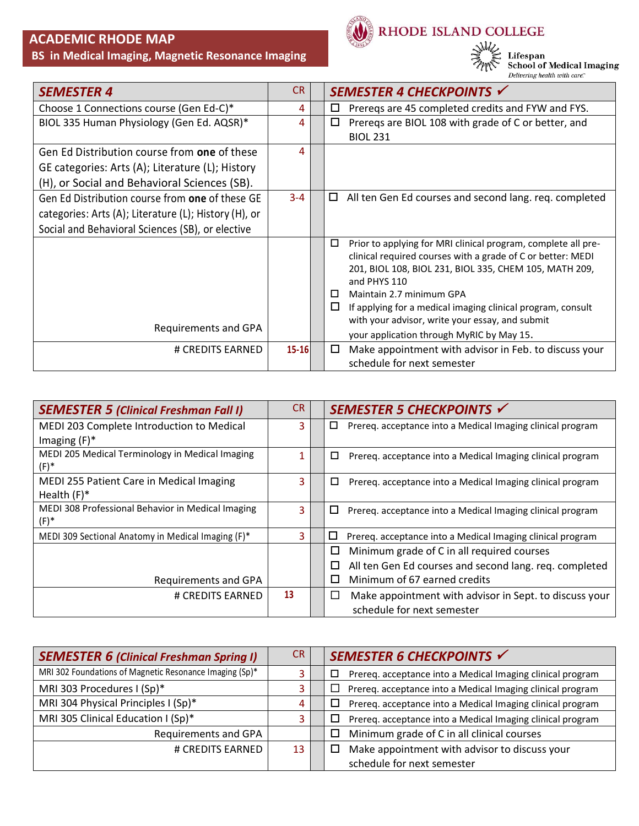# **ACADEMIC RHODE MAP**

### **BS in Medical Imaging, Magnetic Resonance Imaging**



RHODE ISLAND COLLEGE



Lifespan<br>School of Medical Imaging<br><sub>Delivering health with care</sub>

| <b>SEMESTER 4</b>                                     | CR.       | SEMESTER 4 CHECKPOINTS √                                               |
|-------------------------------------------------------|-----------|------------------------------------------------------------------------|
| Choose 1 Connections course (Gen Ed-C)*               | 4         | Preregs are 45 completed credits and FYW and FYS.<br>ப                 |
| BIOL 335 Human Physiology (Gen Ed. AQSR)*             | 4         | Preregs are BIOL 108 with grade of C or better, and<br>□               |
|                                                       |           | <b>BIOL 231</b>                                                        |
| Gen Ed Distribution course from one of these          | 4         |                                                                        |
| GE categories: Arts (A); Literature (L); History      |           |                                                                        |
| (H), or Social and Behavioral Sciences (SB).          |           |                                                                        |
| Gen Ed Distribution course from one of these GE       | $3 - 4$   | All ten Gen Ed courses and second lang. req. completed<br>$\Box$       |
| categories: Arts (A); Literature (L); History (H), or |           |                                                                        |
| Social and Behavioral Sciences (SB), or elective      |           |                                                                        |
|                                                       |           | □<br>Prior to applying for MRI clinical program, complete all pre-     |
|                                                       |           | clinical required courses with a grade of C or better: MEDI            |
|                                                       |           | 201, BIOL 108, BIOL 231, BIOL 335, CHEM 105, MATH 209,<br>and PHYS 110 |
|                                                       |           | Maintain 2.7 minimum GPA<br>□                                          |
|                                                       |           | If applying for a medical imaging clinical program, consult<br>ш       |
|                                                       |           | with your advisor, write your essay, and submit                        |
| Requirements and GPA                                  |           | your application through MyRIC by May 15.                              |
| # CREDITS EARNED                                      | $15 - 16$ | Make appointment with advisor in Feb. to discuss your<br>□             |
|                                                       |           | schedule for next semester                                             |

| <b>SEMESTER 5 (Clinical Freshman Fall I)</b>       | <b>CR</b> | SEMESTER 5 CHECKPOINTS √                                             |
|----------------------------------------------------|-----------|----------------------------------------------------------------------|
| MEDI 203 Complete Introduction to Medical          | 3         | Prereq. acceptance into a Medical Imaging clinical program<br>□      |
| Imaging $(F)^*$                                    |           |                                                                      |
| MEDI 205 Medical Terminology in Medical Imaging    | 1         | Prereq. acceptance into a Medical Imaging clinical program<br>□      |
| $(F)^*$                                            |           |                                                                      |
| MEDI 255 Patient Care in Medical Imaging           | 3         | Prereq. acceptance into a Medical Imaging clinical program<br>□      |
| Health $(F)^*$                                     |           |                                                                      |
| MEDI 308 Professional Behavior in Medical Imaging  | 3         | $\Box$<br>Prereq. acceptance into a Medical Imaging clinical program |
| $(F)^*$                                            |           |                                                                      |
| MEDI 309 Sectional Anatomy in Medical Imaging (F)* | 3         | □<br>Prereg. acceptance into a Medical Imaging clinical program      |
|                                                    |           | ◻<br>Minimum grade of C in all required courses                      |
|                                                    |           | All ten Gen Ed courses and second lang. req. completed<br>$\Box$     |
| Requirements and GPA                               |           | Minimum of 67 earned credits<br>$\Box$                               |
| # CREDITS EARNED                                   | 13        | Make appointment with advisor in Sept. to discuss your<br>$\Box$     |
|                                                    |           | schedule for next semester                                           |

| <b>SEMESTER 6 (Clinical Freshman Spring I)</b>          | CR. | SEMESTER 6 CHECKPOINTS V                                        |
|---------------------------------------------------------|-----|-----------------------------------------------------------------|
| MRI 302 Foundations of Magnetic Resonance Imaging (Sp)* | 3   | Prereq. acceptance into a Medical Imaging clinical program<br>□ |
| MRI 303 Procedures I (Sp)*                              | 3.  | Prereq. acceptance into a Medical Imaging clinical program<br>⊔ |
| MRI 304 Physical Principles I (Sp)*                     | 4   | Prereq. acceptance into a Medical Imaging clinical program<br>□ |
| MRI 305 Clinical Education I (Sp)*                      | 3.  | Prereq. acceptance into a Medical Imaging clinical program<br>□ |
| Requirements and GPA                                    |     | Minimum grade of C in all clinical courses<br>□                 |
| # CREDITS EARNED                                        | 13  | Make appointment with advisor to discuss your<br>□              |
|                                                         |     | schedule for next semester                                      |